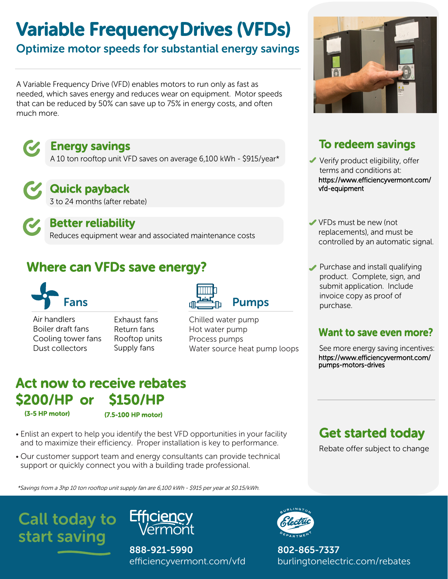# Variable Frequency Drives (VFDs)

# Optimize motor speeds for substantial energy savings

A Variable Frequency Drive (VFD) enables motors to run only as fast as needed, which saves energy and reduces wear on equipment. Motor speeds that can be reduced by 50% can save up to 75% in energy costs, and often much more.



## Energy savings

A 10 ton rooftop unit VFD saves on average 6,100 kWh - \$915/year\*

Quick payback

3 to 24 months (after rebate)

Better reliability Reduces equipment wear and associated maintenance costs

# Where can VFDs save energy?



- Air handlers Boiler draft fans Cooling tower fans Dust collectors
- Exhaust fans Return fans Rooftop units Supply fans



Chilled water pump Hot water pump Process pumps Water source heat pump loops

# Act now to receive rebates \$200/HP or \$150/HP

(3-5 HP motor) (7.5-100 HP motor)

- Enlist an expert to help you identify the best VFD opportunities in your facility and to maximize their efficiency. Proper installation is key to performance.
- Our customer support team and energy consultants can provide technical support or quickly connect you with a building trade professional.

\*Savings from a 3hp 10 ton rooftop unit supply fan are 6,100 kWh - \$915 per year at \$0.15/kWh.





888-921-5990 efficiencyvermont.com/vfd



802-865-7337 burlingtonelectric.com/rebates



# To redeem savings

- Verify product eligibility, offer terms and conditions at: https://www.efficiencyvermont.com/ vfd-equipment
- VFDs must be new (not replacements), and must be controlled by an automatic signal.
- Purchase and install qualifying product. Complete, sign, and submit application. Include invoice copy as proof of purchase.

### Want to save even more?

See more energy saving incentives: https://www.efficiencyvermont.com/ pumps-motors-drives

# Get started today

Rebate offer subject to change